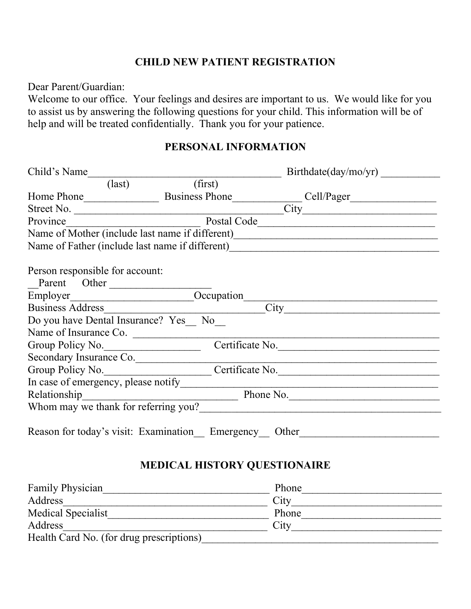## CHILD NEW PATIENT REGISTRATION

Dear Parent/Guardian:

Welcome to our office. Your feelings and desires are important to us. We would like for you to assist us by answering the following questions for your child. This information will be of help and will be treated confidentially. Thank you for your patience.

## PERSONAL INFORMATION

| Child's Name                                          |                                                                          | Birthdate/day/mol/yr)                |  |
|-------------------------------------------------------|--------------------------------------------------------------------------|--------------------------------------|--|
| $\text{(last)}$                                       | (first)                                                                  |                                      |  |
|                                                       |                                                                          |                                      |  |
| Street No.                                            | $\overline{\text{City}}$                                                 |                                      |  |
| Province                                              | Postal Code<br><u> 1980 - Jan Barat, margaret eta idazlea (h. 1980).</u> |                                      |  |
| Name of Mother (include last name if different)       |                                                                          |                                      |  |
|                                                       |                                                                          |                                      |  |
|                                                       |                                                                          |                                      |  |
| Person responsible for account:                       |                                                                          |                                      |  |
| Parent Other                                          |                                                                          |                                      |  |
| Employer__________________________Occupation_         |                                                                          |                                      |  |
| <b>Business Address</b>                               |                                                                          |                                      |  |
| Do you have Dental Insurance? Yes No                  |                                                                          |                                      |  |
| Name of Insurance Co.                                 |                                                                          |                                      |  |
| Group Policy No.                                      |                                                                          | Certificate No.                      |  |
| Secondary Insurance Co.                               |                                                                          |                                      |  |
|                                                       |                                                                          | Group Policy No. Certificate No.     |  |
| In case of emergency, please notify                   |                                                                          |                                      |  |
| Relationship<br>Phone No.                             |                                                                          |                                      |  |
|                                                       |                                                                          | Whom may we thank for referring you? |  |
| Reason for today's visit: Examination Emergency Other |                                                                          |                                      |  |
|                                                       |                                                                          |                                      |  |

# MEDICAL HISTORY QUESTIONAIRE

| Family Physician                         | Phone |  |
|------------------------------------------|-------|--|
| Address                                  | City  |  |
| <b>Medical Specialist</b>                | Phone |  |
| Address                                  | City  |  |
| Health Card No. (for drug prescriptions) |       |  |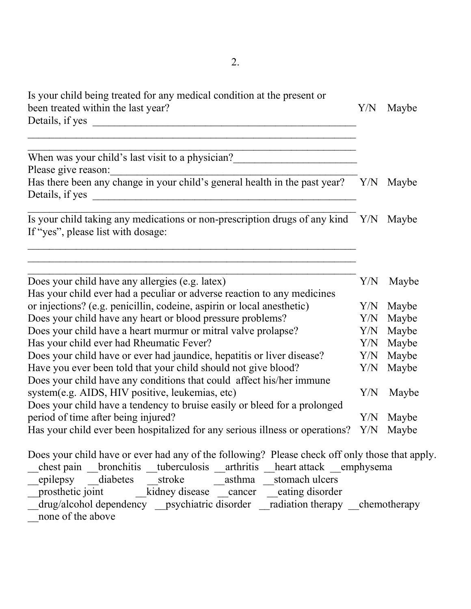| Is your child being treated for any medical condition at the present or                                                                                                                                                                                                                                                                                                                                                                                                                                                                                      |     |       |  |
|--------------------------------------------------------------------------------------------------------------------------------------------------------------------------------------------------------------------------------------------------------------------------------------------------------------------------------------------------------------------------------------------------------------------------------------------------------------------------------------------------------------------------------------------------------------|-----|-------|--|
| been treated within the last year?                                                                                                                                                                                                                                                                                                                                                                                                                                                                                                                           | Y/N | Maybe |  |
| Details, if yes                                                                                                                                                                                                                                                                                                                                                                                                                                                                                                                                              |     |       |  |
| When was your child's last visit to a physician?_________________________________                                                                                                                                                                                                                                                                                                                                                                                                                                                                            |     |       |  |
| Please give reason:                                                                                                                                                                                                                                                                                                                                                                                                                                                                                                                                          |     |       |  |
| Frease give reason.<br>Has there been any change in your child's general health in the past year? Y/N Maybe<br>Details, if yes                                                                                                                                                                                                                                                                                                                                                                                                                               |     |       |  |
| Is your child taking any medications or non-prescription drugs of any kind Y/N Maybe<br>If "yes", please list with dosage:                                                                                                                                                                                                                                                                                                                                                                                                                                   |     |       |  |
| Does your child have any allergies (e.g. latex)<br>Has your child ever had a peculiar or adverse reaction to any medicines                                                                                                                                                                                                                                                                                                                                                                                                                                   | Y/N | Maybe |  |
| or injections? (e.g. penicillin, codeine, aspirin or local anesthetic)                                                                                                                                                                                                                                                                                                                                                                                                                                                                                       | Y/N | Maybe |  |
| Does your child have any heart or blood pressure problems?                                                                                                                                                                                                                                                                                                                                                                                                                                                                                                   | Y/N | Maybe |  |
| Does your child have a heart murmur or mitral valve prolapse?                                                                                                                                                                                                                                                                                                                                                                                                                                                                                                | Y/N | Maybe |  |
| Has your child ever had Rheumatic Fever?                                                                                                                                                                                                                                                                                                                                                                                                                                                                                                                     | Y/N | Maybe |  |
| Does your child have or ever had jaundice, hepatitis or liver disease?                                                                                                                                                                                                                                                                                                                                                                                                                                                                                       |     | Maybe |  |
| Have you ever been told that your child should not give blood?<br>Does your child have any conditions that could affect his/her immune                                                                                                                                                                                                                                                                                                                                                                                                                       | Y/N | Maybe |  |
| system(e.g. AIDS, HIV positive, leukemias, etc)<br>Does your child have a tendency to bruise easily or bleed for a prolonged                                                                                                                                                                                                                                                                                                                                                                                                                                 | Y/N | Maybe |  |
| period of time after being injured?                                                                                                                                                                                                                                                                                                                                                                                                                                                                                                                          | Y/N | Maybe |  |
| Has your child ever been hospitalized for any serious illness or operations?                                                                                                                                                                                                                                                                                                                                                                                                                                                                                 | Y/N | Maybe |  |
| Does your child have or ever had any of the following? Please check off only those that apply.<br>$\mathbf{A} = \mathbf{A} \cdot \mathbf{A} + \mathbf{A} \cdot \mathbf{A} + \mathbf{A} \cdot \mathbf{A} + \mathbf{A} \cdot \mathbf{A} + \mathbf{A} \cdot \mathbf{A} + \mathbf{A} \cdot \mathbf{A} + \mathbf{A} \cdot \mathbf{A} + \mathbf{A} \cdot \mathbf{A} + \mathbf{A} \cdot \mathbf{A} + \mathbf{A} \cdot \mathbf{A} + \mathbf{A} \cdot \mathbf{A} + \mathbf{A} \cdot \mathbf{A} + \mathbf{A} \cdot \mathbf{A} + \mathbf{A} \cdot \mathbf{A} + \mathbf$ |     |       |  |

- \_chest pain \_\_bronchitis \_\_tuberculosis \_\_arthritis \_\_heart attack \_\_emphysema epilepsy diabetes stroke asthma stomach ulcers \_\_prosthetic joint \_\_kidney disease \_\_cancer \_\_eating disorder
- \_\_drug/alcohol dependency \_\_psychiatric disorder \_\_radiation therapy \_\_chemotherapy none of the above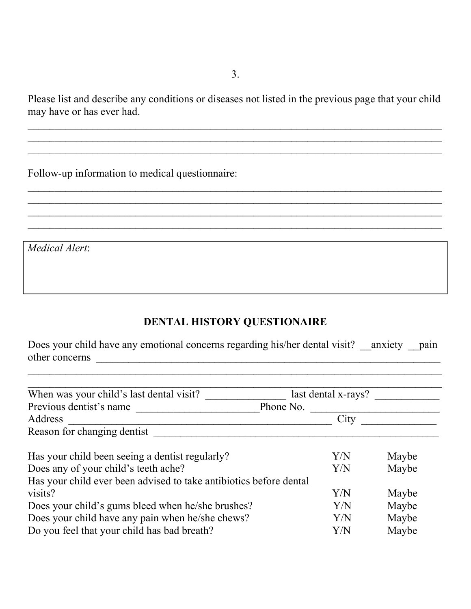3.

Please list and describe any conditions or diseases not listed in the previous page that your child may have or has ever had.

 $\mathcal{L}_\mathcal{L} = \mathcal{L}_\mathcal{L} = \mathcal{L}_\mathcal{L} = \mathcal{L}_\mathcal{L} = \mathcal{L}_\mathcal{L} = \mathcal{L}_\mathcal{L} = \mathcal{L}_\mathcal{L} = \mathcal{L}_\mathcal{L} = \mathcal{L}_\mathcal{L} = \mathcal{L}_\mathcal{L} = \mathcal{L}_\mathcal{L} = \mathcal{L}_\mathcal{L} = \mathcal{L}_\mathcal{L} = \mathcal{L}_\mathcal{L} = \mathcal{L}_\mathcal{L} = \mathcal{L}_\mathcal{L} = \mathcal{L}_\mathcal{L}$ 

 $\mathcal{L}_\mathcal{L} = \mathcal{L}_\mathcal{L} = \mathcal{L}_\mathcal{L} = \mathcal{L}_\mathcal{L} = \mathcal{L}_\mathcal{L} = \mathcal{L}_\mathcal{L} = \mathcal{L}_\mathcal{L} = \mathcal{L}_\mathcal{L} = \mathcal{L}_\mathcal{L} = \mathcal{L}_\mathcal{L} = \mathcal{L}_\mathcal{L} = \mathcal{L}_\mathcal{L} = \mathcal{L}_\mathcal{L} = \mathcal{L}_\mathcal{L} = \mathcal{L}_\mathcal{L} = \mathcal{L}_\mathcal{L} = \mathcal{L}_\mathcal{L}$ 

 $\mathcal{L}_\mathcal{L} = \mathcal{L}_\mathcal{L} = \mathcal{L}_\mathcal{L} = \mathcal{L}_\mathcal{L} = \mathcal{L}_\mathcal{L} = \mathcal{L}_\mathcal{L} = \mathcal{L}_\mathcal{L} = \mathcal{L}_\mathcal{L} = \mathcal{L}_\mathcal{L} = \mathcal{L}_\mathcal{L} = \mathcal{L}_\mathcal{L} = \mathcal{L}_\mathcal{L} = \mathcal{L}_\mathcal{L} = \mathcal{L}_\mathcal{L} = \mathcal{L}_\mathcal{L} = \mathcal{L}_\mathcal{L} = \mathcal{L}_\mathcal{L}$  $\mathcal{L}_\mathcal{L} = \mathcal{L}_\mathcal{L} = \mathcal{L}_\mathcal{L} = \mathcal{L}_\mathcal{L} = \mathcal{L}_\mathcal{L} = \mathcal{L}_\mathcal{L} = \mathcal{L}_\mathcal{L} = \mathcal{L}_\mathcal{L} = \mathcal{L}_\mathcal{L} = \mathcal{L}_\mathcal{L} = \mathcal{L}_\mathcal{L} = \mathcal{L}_\mathcal{L} = \mathcal{L}_\mathcal{L} = \mathcal{L}_\mathcal{L} = \mathcal{L}_\mathcal{L} = \mathcal{L}_\mathcal{L} = \mathcal{L}_\mathcal{L}$ 

Follow-up information to medical questionnaire:

Medical Alert:

## DENTAL HISTORY QUESTIONAIRE

Does your child have any emotional concerns regarding his/her dental visit? \_\_anxiety \_\_pain other concerns  $\qquad \qquad$ 

 $\mathcal{L}_\mathcal{L} = \mathcal{L}_\mathcal{L} = \mathcal{L}_\mathcal{L} = \mathcal{L}_\mathcal{L} = \mathcal{L}_\mathcal{L} = \mathcal{L}_\mathcal{L} = \mathcal{L}_\mathcal{L} = \mathcal{L}_\mathcal{L} = \mathcal{L}_\mathcal{L} = \mathcal{L}_\mathcal{L} = \mathcal{L}_\mathcal{L} = \mathcal{L}_\mathcal{L} = \mathcal{L}_\mathcal{L} = \mathcal{L}_\mathcal{L} = \mathcal{L}_\mathcal{L} = \mathcal{L}_\mathcal{L} = \mathcal{L}_\mathcal{L}$ 

| When was your child's last dental visit?                           | last dental x-rays? |       |
|--------------------------------------------------------------------|---------------------|-------|
| Previous dentist's name                                            | Phone No.           |       |
| Address                                                            | City                |       |
| Reason for changing dentist                                        |                     |       |
| Has your child been seeing a dentist regularly?                    | Y/N                 | Maybe |
| Does any of your child's teeth ache?                               | Y/N                 | Maybe |
| Has your child ever been advised to take antibiotics before dental |                     |       |
| visits?                                                            | Y/N                 | Maybe |
| Does your child's gums bleed when he/she brushes?                  | Y/N                 | Maybe |
| Does your child have any pain when he/she chews?                   | Y/N                 | Maybe |
| Do you feel that your child has bad breath?                        | Y/N                 | Maybe |